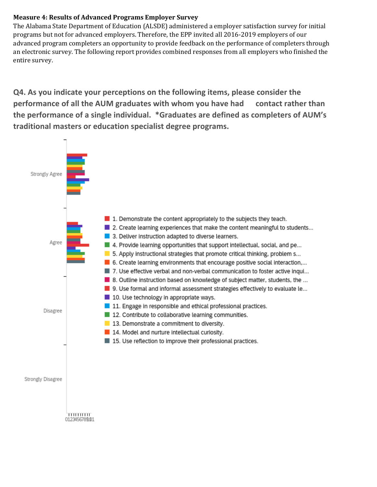## **Measure 4: Results of Advanced Programs Employer Survey**

The Alabama State Department of Education (ALSDE) administered a employer satisfaction survey for initial programs but not for advanced employers. Therefore, the EPP invited all 2016-2019 employers of our advanced program completers an opportunity to provide feedback on the performance of completers through an electronic survey. The following report provides combined responses from all employers who finished the entire survey.

**Q4. As you indicate your perceptions on the following items, please consider the performance of all the AUM graduates with whom you have had contact rather than the performance of a single individual. \*Graduates are defined as completers of AUM's traditional masters or education specialist degree programs.**

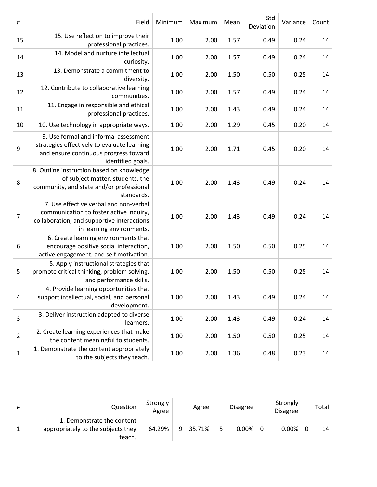| $\#$           | Field                                                                                                                                                        | Minimum | Maximum | Mean | Std<br>Deviation | Variance | Count |
|----------------|--------------------------------------------------------------------------------------------------------------------------------------------------------------|---------|---------|------|------------------|----------|-------|
| 15             | 15. Use reflection to improve their<br>professional practices.                                                                                               | 1.00    | 2.00    | 1.57 | 0.49             | 0.24     | 14    |
| 14             | 14. Model and nurture intellectual<br>curiosity.                                                                                                             | 1.00    | 2.00    | 1.57 | 0.49             | 0.24     | 14    |
| 13             | 13. Demonstrate a commitment to<br>diversity.                                                                                                                | 1.00    | 2.00    | 1.50 | 0.50             | 0.25     | 14    |
| 12             | 12. Contribute to collaborative learning<br>communities.                                                                                                     | 1.00    | 2.00    | 1.57 | 0.49             | 0.24     | 14    |
| 11             | 11. Engage in responsible and ethical<br>professional practices.                                                                                             | 1.00    | 2.00    | 1.43 | 0.49             | 0.24     | 14    |
| 10             | 10. Use technology in appropriate ways.                                                                                                                      | 1.00    | 2.00    | 1.29 | 0.45             | 0.20     | 14    |
| 9              | 9. Use formal and informal assessment<br>strategies effectively to evaluate learning<br>and ensure continuous progress toward<br>identified goals.           | 1.00    | 2.00    | 1.71 | 0.45             | 0.20     | 14    |
| 8              | 8. Outline instruction based on knowledge<br>of subject matter, students, the<br>community, and state and/or professional<br>standards.                      | 1.00    | 2.00    | 1.43 | 0.49             | 0.24     | 14    |
| $\overline{7}$ | 7. Use effective verbal and non-verbal<br>communication to foster active inquiry,<br>collaboration, and supportive interactions<br>in learning environments. | 1.00    | 2.00    | 1.43 | 0.49             | 0.24     | 14    |
| 6              | 6. Create learning environments that<br>encourage positive social interaction,<br>active engagement, and self motivation.                                    | 1.00    | 2.00    | 1.50 | 0.50             | 0.25     | 14    |
| 5              | 5. Apply instructional strategies that<br>promote critical thinking, problem solving,<br>and performance skills.                                             | 1.00    | 2.00    | 1.50 | 0.50             | 0.25     | 14    |
| $\overline{4}$ | 4. Provide learning opportunities that<br>support intellectual, social, and personal<br>development.                                                         | 1.00    | 2.00    | 1.43 | 0.49             | 0.24     | 14    |
| 3              | 3. Deliver instruction adapted to diverse<br>learners.                                                                                                       | 1.00    | 2.00    | 1.43 | 0.49             | 0.24     | 14    |
| $\overline{2}$ | 2. Create learning experiences that make<br>the content meaningful to students.                                                                              | 1.00    | 2.00    | 1.50 | 0.50             | 0.25     | 14    |
| 1              | 1. Demonstrate the content appropriately<br>to the subjects they teach.                                                                                      | 1.00    | 2.00    | 1.36 | 0.48             | 0.23     | 14    |

| # | Question                                                                   | Strongly<br>Agree |   | Agree  |   | <b>Disagree</b> |   | Strongly<br><b>Disagree</b> | Total |
|---|----------------------------------------------------------------------------|-------------------|---|--------|---|-----------------|---|-----------------------------|-------|
|   | 1. Demonstrate the content<br>appropriately to the subjects they<br>teach. | 64.29%            | a | 35.71% | ⋷ | 0.00%           | 0 | 0.00%                       | 14    |